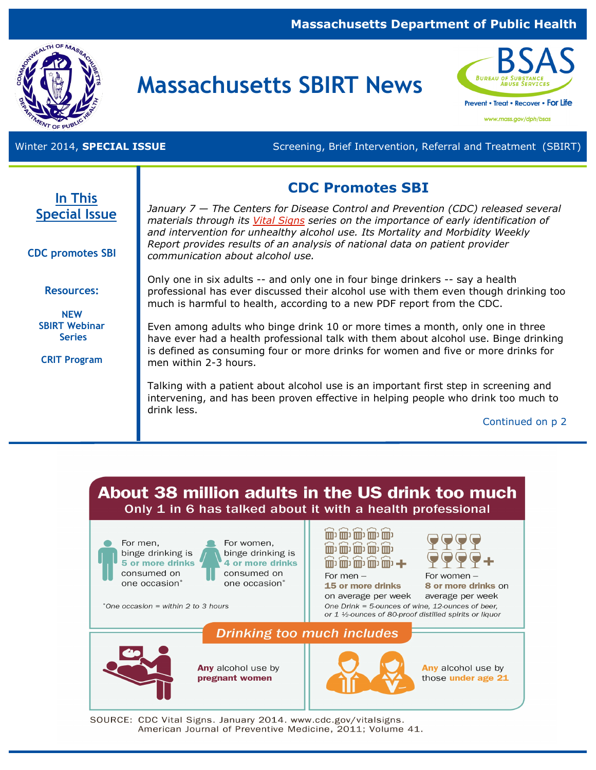### **Massachusetts Department of Public Health**



# **Massachusetts SBIRT News**



www.mass.gov/dph/bsas

Winter 2014, **SPECIAL ISSUE Screening, Brief Intervention, Referral and Treatment (SBIRT)** Screening, Brief Intervention, Referral and Treatment (SBIRT)

## **CDC Promotes SBI**

**In This Special Issue** 

**CDC promotes SBI** 

**Resources:**

**NEW SBIRT Webinar Series**

**CRIT Program**

*January 7 — The Centers for Disease Control and Prevention (CDC) released several materials through its [Vital Signs](http://www.cdc.gov/vitalsigns/alcohol-screening-counseling/index.html) series on the importance of early identification of and intervention for unhealthy alcohol use. Its Mortality and Morbidity Weekly Report provides results of an analysis of national data on patient provider communication about alcohol use.* 

Only one in six adults -- and only one in four binge drinkers -- say a health professional has ever discussed their alcohol use with them even though drinking too much is harmful to health, according to a new [PDF](http://www.cdc.gov/vitalsigns) report from the CDC.

Even among adults who binge drink 10 or more times a month, only one in three have ever had a health professional talk with them about alcohol use. Binge drinking is defined as consuming four or more drinks for women and five or more drinks for men within 2-3 hours.

Talking with a patient about alcohol use is an important first step in screening and intervening, and has been proven effective in helping people who drink too much to drink less.

Continued on p 2



SOURCE: CDC Vital Signs. January 2014. www.cdc.gov/vitalsigns. American Journal of Preventive Medicine, 2011; Volume 41.